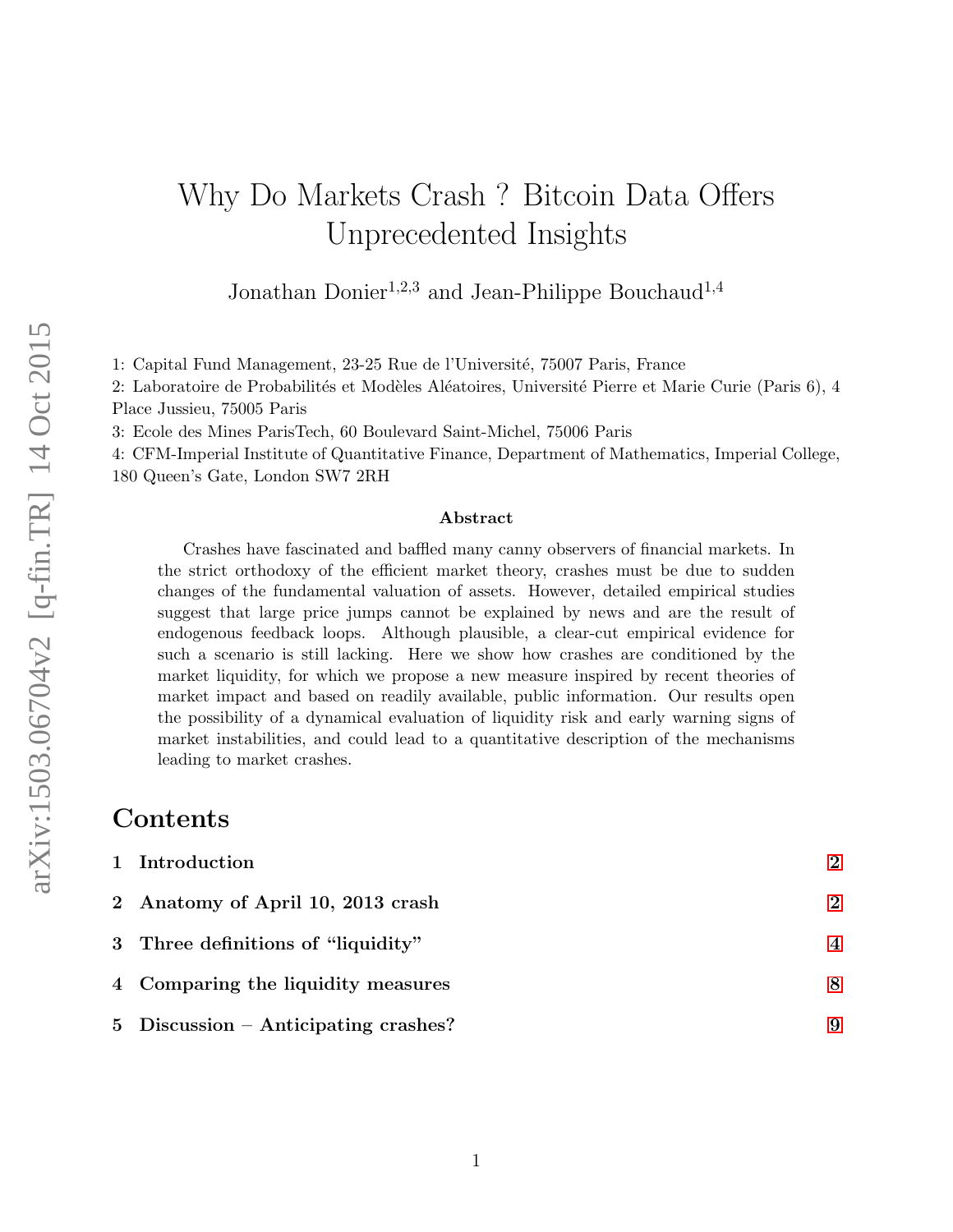# Why Do Markets Crash ? Bitcoin Data Offers Unprecedented Insights

Jonathan Donier<sup>1,2,3</sup> and Jean-Philippe Bouchaud<sup>1,4</sup>

1: Capital Fund Management, 23-25 Rue de l'Université, 75007 Paris, France

2: Laboratoire de Probabilités et Modèles Aléatoires, Université Pierre et Marie Curie (Paris 6), 4 Place Jussieu, 75005 Paris

3: Ecole des Mines ParisTech, 60 Boulevard Saint-Michel, 75006 Paris

4: CFM-Imperial Institute of Quantitative Finance, Department of Mathematics, Imperial College, 180 Queen's Gate, London SW7 2RH

#### Abstract

Crashes have fascinated and baffled many canny observers of financial markets. In the strict orthodoxy of the efficient market theory, crashes must be due to sudden changes of the fundamental valuation of assets. However, detailed empirical studies suggest that large price jumps cannot be explained by news and are the result of endogenous feedback loops. Although plausible, a clear-cut empirical evidence for such a scenario is still lacking. Here we show how crashes are conditioned by the market liquidity, for which we propose a new measure inspired by recent theories of market impact and based on readily available, public information. Our results open the possibility of a dynamical evaluation of liquidity risk and early warning signs of market instabilities, and could lead to a quantitative description of the mechanisms leading to market crashes.

#### Contents

| 1 Introduction                       | $\boldsymbol{\mathcal{D}}$ |
|--------------------------------------|----------------------------|
| 2 Anatomy of April 10, 2013 crash    | $\boldsymbol{\mathcal{D}}$ |
| 3 Three definitions of "liquidity"   | $\overline{\mathcal{A}}$   |
| 4 Comparing the liquidity measures   | 8                          |
| 5 Discussion – Anticipating crashes? | 9                          |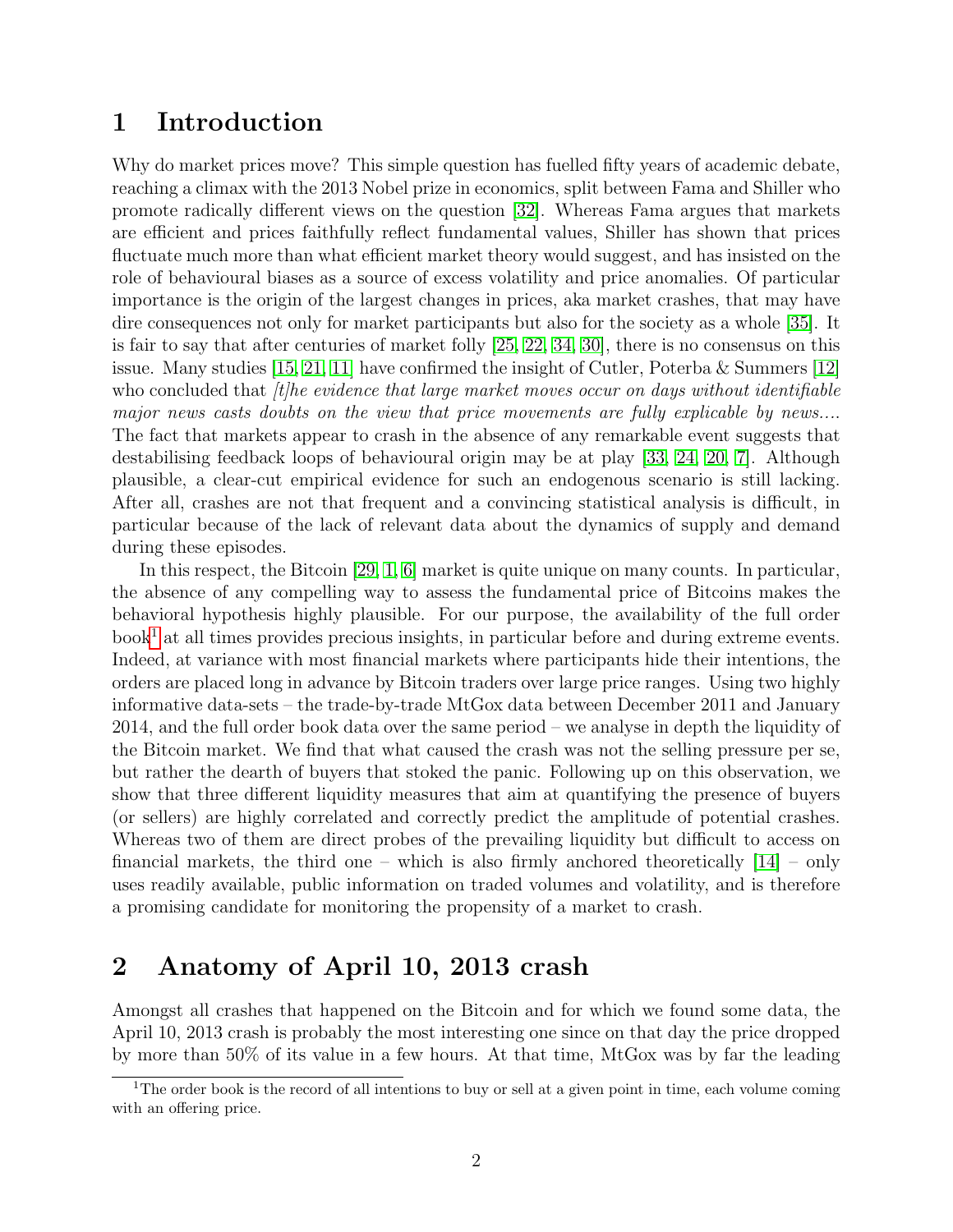### <span id="page-1-0"></span>1 Introduction

Why do market prices move? This simple question has fuelled fifty years of academic debate, reaching a climax with the 2013 Nobel prize in economics, split between Fama and Shiller who promote radically different views on the question [\[32\]](#page-11-0). Whereas Fama argues that markets are efficient and prices faithfully reflect fundamental values, Shiller has shown that prices fluctuate much more than what efficient market theory would suggest, and has insisted on the role of behavioural biases as a source of excess volatility and price anomalies. Of particular importance is the origin of the largest changes in prices, aka market crashes, that may have dire consequences not only for market participants but also for the society as a whole [\[35\]](#page-12-0). It is fair to say that after centuries of market folly [\[25,](#page-11-1) [22,](#page-11-2) [34,](#page-12-1) [30\]](#page-11-3), there is no consensus on this issue. Many studies [\[15,](#page-10-0) [21,](#page-11-4) [11\]](#page-10-1) have confirmed the insight of Cutler, Poterba & Summers [\[12\]](#page-10-2) who concluded that  $\hat{t}$ he evidence that large market moves occur on days without identifiable major news casts doubts on the view that price movements are fully explicable by news.... The fact that markets appear to crash in the absence of any remarkable event suggests that destabilising feedback loops of behavioural origin may be at play [\[33,](#page-11-5) [24,](#page-11-6) [20,](#page-11-7) [7\]](#page-10-3). Although plausible, a clear-cut empirical evidence for such an endogenous scenario is still lacking. After all, crashes are not that frequent and a convincing statistical analysis is difficult, in particular because of the lack of relevant data about the dynamics of supply and demand during these episodes.

In this respect, the Bitcoin [\[29,](#page-11-8) [1,](#page-9-0) [6\]](#page-10-4) market is quite unique on many counts. In particular, the absence of any compelling way to assess the fundamental price of Bitcoins makes the behavioral hypothesis highly plausible. For our purpose, the availability of the full order  $book<sup>1</sup>$  $book<sup>1</sup>$  $book<sup>1</sup>$  at all times provides precious insights, in particular before and during extreme events. Indeed, at variance with most financial markets where participants hide their intentions, the orders are placed long in advance by Bitcoin traders over large price ranges. Using two highly informative data-sets – the trade-by-trade MtGox data between December 2011 and January 2014, and the full order book data over the same period – we analyse in depth the liquidity of the Bitcoin market. We find that what caused the crash was not the selling pressure per se, but rather the dearth of buyers that stoked the panic. Following up on this observation, we show that three different liquidity measures that aim at quantifying the presence of buyers (or sellers) are highly correlated and correctly predict the amplitude of potential crashes. Whereas two of them are direct probes of the prevailing liquidity but difficult to access on financial markets, the third one – which is also firmly anchored theoretically  $[14]$  – only uses readily available, public information on traded volumes and volatility, and is therefore a promising candidate for monitoring the propensity of a market to crash.

# <span id="page-1-1"></span>2 Anatomy of April 10, 2013 crash

Amongst all crashes that happened on the Bitcoin and for which we found some data, the April 10, 2013 crash is probably the most interesting one since on that day the price dropped by more than 50% of its value in a few hours. At that time, MtGox was by far the leading

<span id="page-1-2"></span><sup>&</sup>lt;sup>1</sup>The order book is the record of all intentions to buy or sell at a given point in time, each volume coming with an offering price.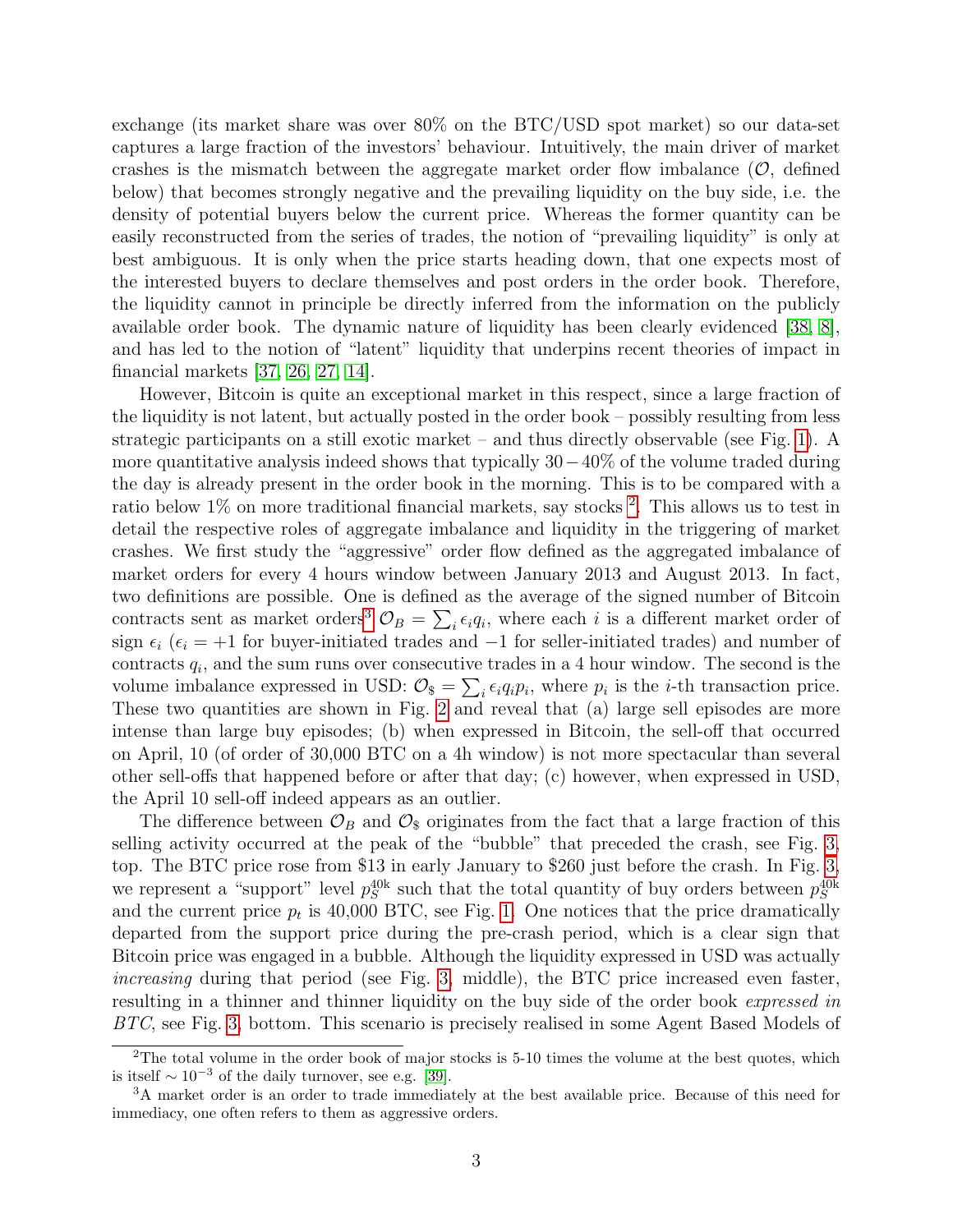exchange (its market share was over 80% on the BTC/USD spot market) so our data-set captures a large fraction of the investors' behaviour. Intuitively, the main driver of market crashes is the mismatch between the aggregate market order flow imbalance  $(\mathcal{O}, \text{ defined})$ below) that becomes strongly negative and the prevailing liquidity on the buy side, i.e. the density of potential buyers below the current price. Whereas the former quantity can be easily reconstructed from the series of trades, the notion of "prevailing liquidity" is only at best ambiguous. It is only when the price starts heading down, that one expects most of the interested buyers to declare themselves and post orders in the order book. Therefore, the liquidity cannot in principle be directly inferred from the information on the publicly available order book. The dynamic nature of liquidity has been clearly evidenced [\[38,](#page-12-2) [8\]](#page-10-6), and has led to the notion of "latent" liquidity that underpins recent theories of impact in financial markets [\[37,](#page-12-3) [26,](#page-11-9) [27,](#page-11-10) [14\]](#page-10-5).

However, Bitcoin is quite an exceptional market in this respect, since a large fraction of the liquidity is not latent, but actually posted in the order book – possibly resulting from less strategic participants on a still exotic market – and thus directly observable (see Fig. [1\)](#page-3-1). A more quantitative analysis indeed shows that typically  $30-40\%$  of the volume traded during the day is already present in the order book in the morning. This is to be compared with a ratio below 1% on more traditional financial markets, say stocks<sup>[2](#page-2-0)</sup>. This allows us to test in detail the respective roles of aggregate imbalance and liquidity in the triggering of market crashes. We first study the "aggressive" order flow defined as the aggregated imbalance of market orders for every 4 hours window between January 2013 and August 2013. In fact, two definitions are possible. One is defined as the average of the signed number of Bitcoin contracts sent as market orders<sup>[3](#page-2-1)</sup>  $\mathcal{O}_B = \sum_i \epsilon_i q_i$ , where each i is a different market order of sign  $\epsilon_i$  ( $\epsilon_i = +1$  for buyer-initiated trades and  $-1$  for seller-initiated trades) and number of contracts  $q_i$ , and the sum runs over consecutive trades in a 4 hour window. The second is the volume imbalance expressed in USD:  $\mathcal{O}_{\$} = \sum_i \epsilon_i q_i p_i$ , where  $p_i$  is the *i*-th transaction price. These two quantities are shown in Fig. [2](#page-4-0) and reveal that (a) large sell episodes are more intense than large buy episodes; (b) when expressed in Bitcoin, the sell-off that occurred on April, 10 (of order of 30,000 BTC on a 4h window) is not more spectacular than several other sell-offs that happened before or after that day; (c) however, when expressed in USD, the April 10 sell-off indeed appears as an outlier.

The difference between  $\mathcal{O}_B$  and  $\mathcal{O}_\$$  originates from the fact that a large fraction of this selling activity occurred at the peak of the "bubble" that preceded the crash, see Fig. [3,](#page-5-0) top. The BTC price rose from \$13 in early January to \$260 just before the crash. In Fig. [3,](#page-5-0) we represent a "support" level  $p_S^{40k}$  such that the total quantity of buy orders between  $p_S^{40k}$ and the current price  $p_t$  is 40,000 BTC, see Fig. [1.](#page-3-1) One notices that the price dramatically departed from the support price during the pre-crash period, which is a clear sign that Bitcoin price was engaged in a bubble. Although the liquidity expressed in USD was actually increasing during that period (see Fig. [3,](#page-5-0) middle), the BTC price increased even faster, resulting in a thinner and thinner liquidity on the buy side of the order book *expressed in* BTC, see Fig. [3,](#page-5-0) bottom. This scenario is precisely realised in some Agent Based Models of

<span id="page-2-0"></span><sup>&</sup>lt;sup>2</sup>The total volume in the order book of major stocks is  $5-10$  times the volume at the best quotes, which is itself  $\sim 10^{-3}$  of the daily turnover, see e.g. [\[39\]](#page-12-4).

<span id="page-2-1"></span><sup>3</sup>A market order is an order to trade immediately at the best available price. Because of this need for immediacy, one often refers to them as aggressive orders.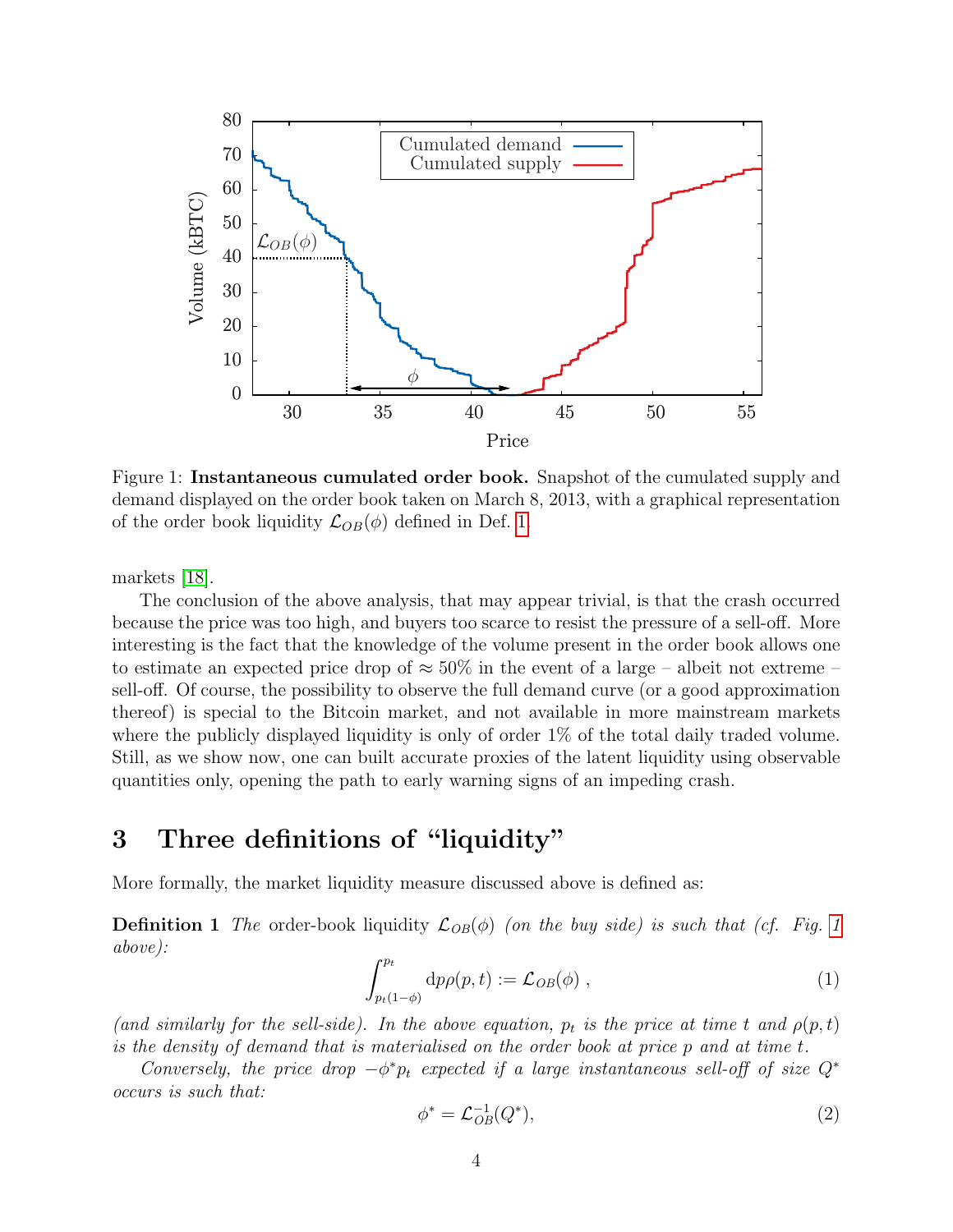<span id="page-3-1"></span>

Figure 1: Instantaneous cumulated order book. Snapshot of the cumulated supply and demand displayed on the order book taken on March 8, 2013, with a graphical representation of the order book liquidity  $\mathcal{L}_{OB}(\phi)$  defined in Def. [1.](#page-3-2)

markets [\[18\]](#page-10-7).

The conclusion of the above analysis, that may appear trivial, is that the crash occurred because the price was too high, and buyers too scarce to resist the pressure of a sell-off. More interesting is the fact that the knowledge of the volume present in the order book allows one to estimate an expected price drop of  $\approx 50\%$  in the event of a large – albeit not extreme – sell-off. Of course, the possibility to observe the full demand curve (or a good approximation thereof) is special to the Bitcoin market, and not available in more mainstream markets where the publicly displayed liquidity is only of order  $1\%$  of the total daily traded volume. Still, as we show now, one can built accurate proxies of the latent liquidity using observable quantities only, opening the path to early warning signs of an impeding crash.

### <span id="page-3-0"></span>3 Three definitions of "liquidity"

<span id="page-3-2"></span>More formally, the market liquidity measure discussed above is defined as:

**Definition [1](#page-3-1)** The order-book liquidity  $\mathcal{L}_{OB}(\phi)$  (on the buy side) is such that (cf. Fig. 1 above):

$$
\int_{p_t(1-\phi)}^{p_t} dp \rho(p,t) := \mathcal{L}_{OB}(\phi) , \qquad (1)
$$

(and similarly for the sell-side). In the above equation,  $p_t$  is the price at time t and  $\rho(p,t)$ is the density of demand that is materialised on the order book at price p and at time t.

Conversely, the price drop  $-\phi^* p_t$  expected if a large instantaneous sell-off of size  $Q^*$ occurs is such that:

$$
\phi^* = \mathcal{L}_{OB}^{-1}(Q^*),\tag{2}
$$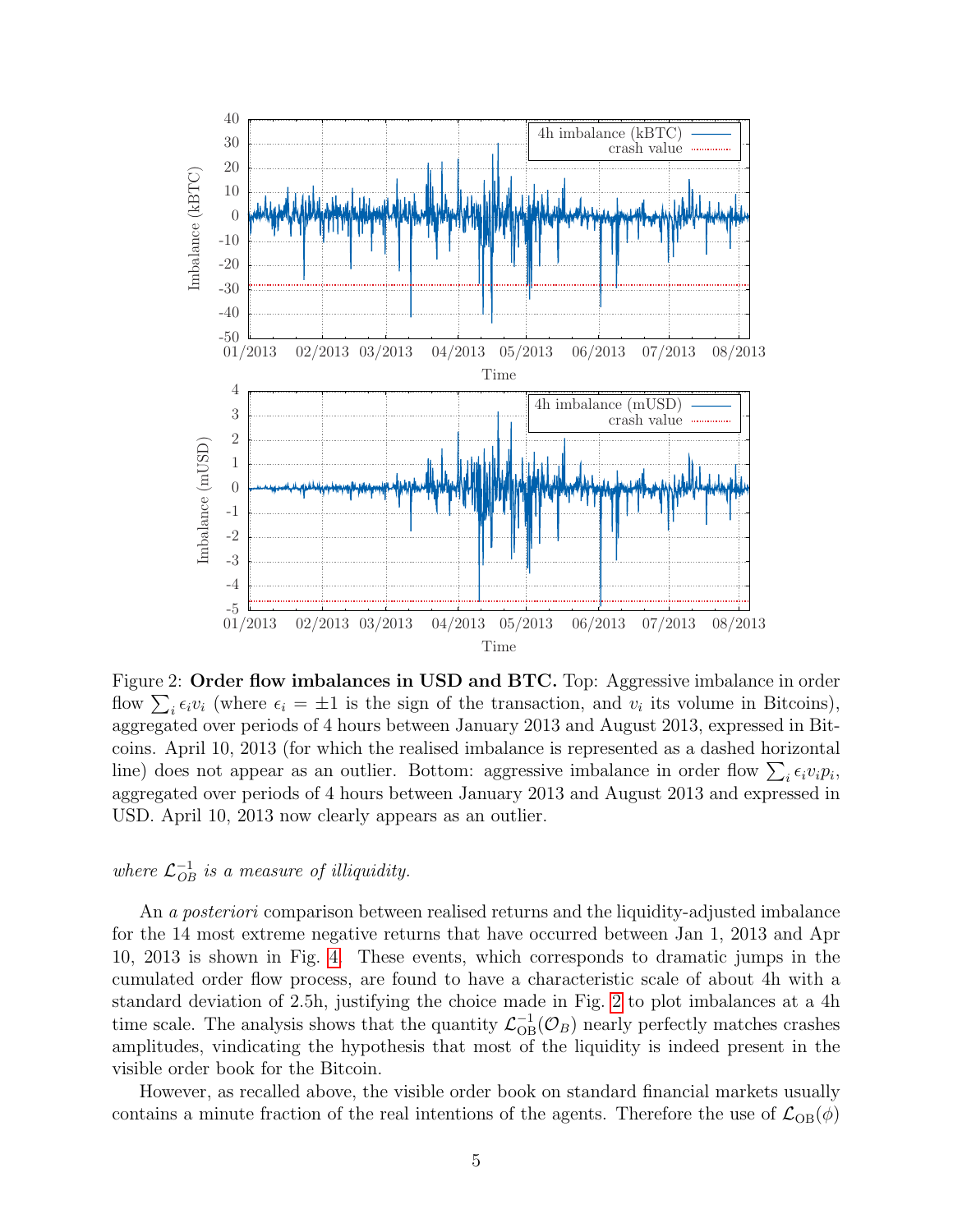<span id="page-4-0"></span>

Figure 2: Order flow imbalances in USD and BTC. Top: Aggressive imbalance in order flow  $\sum_i \epsilon_i v_i$  (where  $\epsilon_i = \pm 1$  is the sign of the transaction, and  $v_i$  its volume in Bitcoins), aggregated over periods of 4 hours between January 2013 and August 2013, expressed in Bitcoins. April 10, 2013 (for which the realised imbalance is represented as a dashed horizontal line) does not appear as an outlier. Bottom: aggressive imbalance in order flow  $\sum_i \epsilon_i v_i p_i$ , aggregated over periods of 4 hours between January 2013 and August 2013 and expressed in USD. April 10, 2013 now clearly appears as an outlier.

# where  $\mathcal{L}_{OB}^{-1}$  is a measure of illiquidity.

An a *posteriori* comparison between realised returns and the liquidity-adjusted imbalance for the 14 most extreme negative returns that have occurred between Jan 1, 2013 and Apr 10, 2013 is shown in Fig. [4.](#page-6-0) These events, which corresponds to dramatic jumps in the cumulated order flow process, are found to have a characteristic scale of about 4h with a standard deviation of 2.5h, justifying the choice made in Fig. [2](#page-4-0) to plot imbalances at a 4h time scale. The analysis shows that the quantity  $\mathcal{L}_{OB}^{-1}(\mathcal{O}_B)$  nearly perfectly matches crashes amplitudes, vindicating the hypothesis that most of the liquidity is indeed present in the visible order book for the Bitcoin.

However, as recalled above, the visible order book on standard financial markets usually contains a minute fraction of the real intentions of the agents. Therefore the use of  $\mathcal{L}_{OB}(\phi)$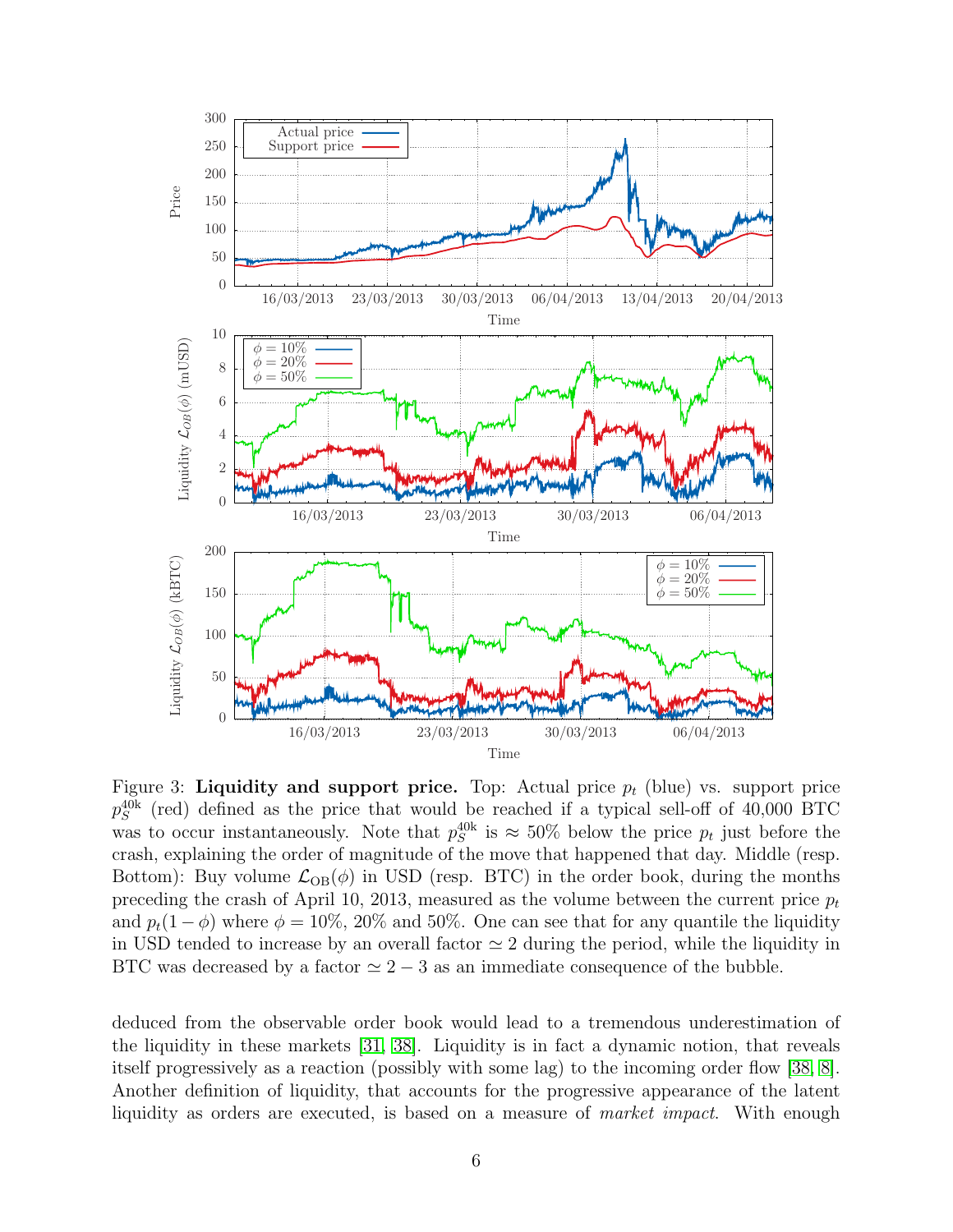<span id="page-5-0"></span>

Figure 3: Liquidity and support price. Top: Actual price  $p_t$  (blue) vs. support price  $p_S^{40k}$  (red) defined as the price that would be reached if a typical sell-off of 40,000 BTC was to occur instantaneously. Note that  $p_S^{40k}$  is  $\approx 50\%$  below the price  $p_t$  just before the crash, explaining the order of magnitude of the move that happened that day. Middle (resp. Bottom): Buy volume  $\mathcal{L}_{OB}(\phi)$  in USD (resp. BTC) in the order book, during the months preceding the crash of April 10, 2013, measured as the volume between the current price  $p_t$ and  $p_t(1-\phi)$  where  $\phi = 10\%$ , 20% and 50%. One can see that for any quantile the liquidity in USD tended to increase by an overall factor  $\simeq 2$  during the period, while the liquidity in BTC was decreased by a factor  $\simeq 2 - 3$  as an immediate consequence of the bubble.

deduced from the observable order book would lead to a tremendous underestimation of the liquidity in these markets [\[31,](#page-11-11) [38\]](#page-12-2). Liquidity is in fact a dynamic notion, that reveals itself progressively as a reaction (possibly with some lag) to the incoming order flow [\[38,](#page-12-2) [8\]](#page-10-6). Another definition of liquidity, that accounts for the progressive appearance of the latent liquidity as orders are executed, is based on a measure of *market impact*. With enough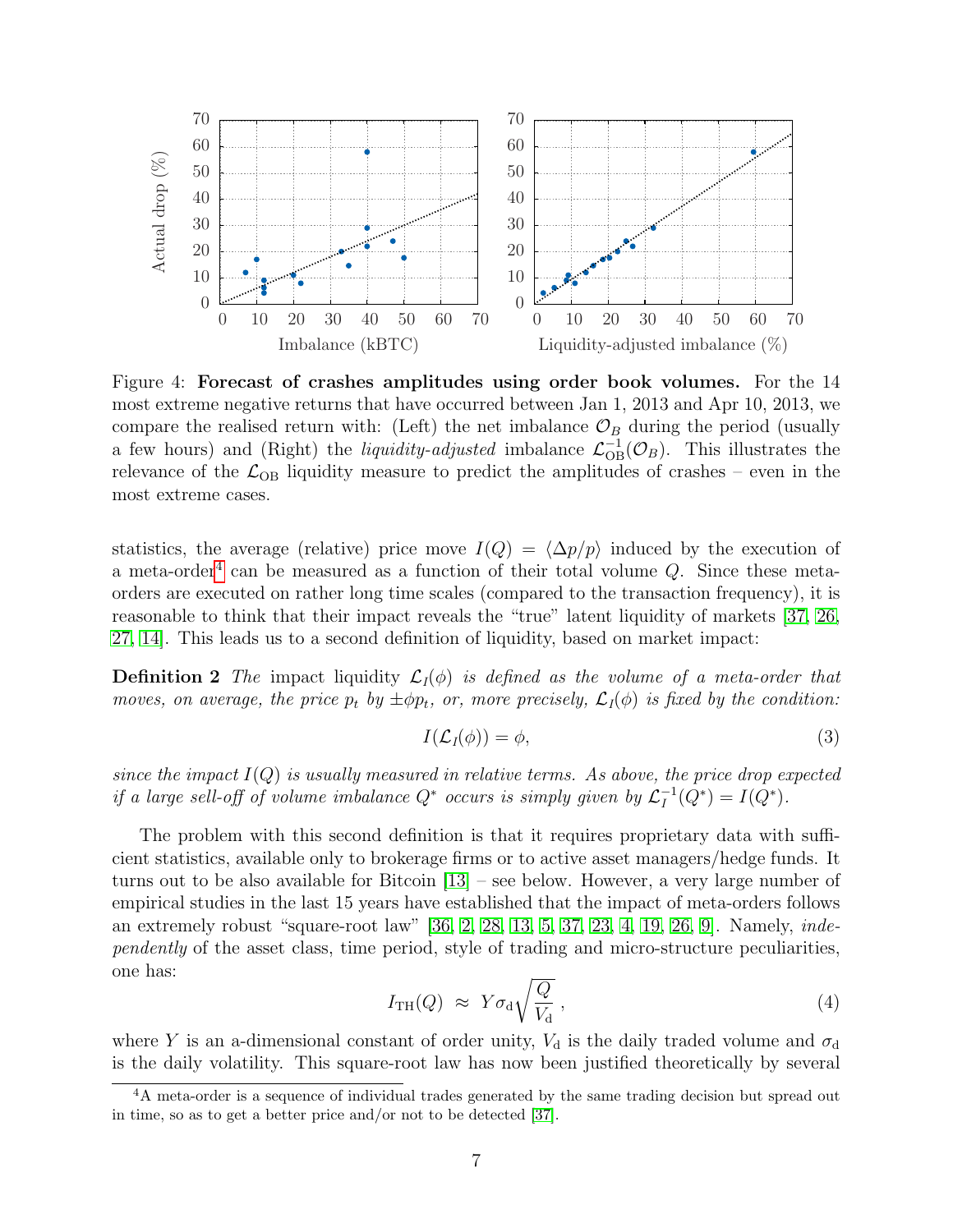<span id="page-6-0"></span>

Figure 4: Forecast of crashes amplitudes using order book volumes. For the 14 most extreme negative returns that have occurred between Jan 1, 2013 and Apr 10, 2013, we compare the realised return with: (Left) the net imbalance  $\mathcal{O}_B$  during the period (usually a few hours) and (Right) the *liquidity-adjusted* imbalance  $\mathcal{L}_{OB}^{-1}(\mathcal{O}_B)$ . This illustrates the relevance of the  $\mathcal{L}_{OB}$  liquidity measure to predict the amplitudes of crashes – even in the most extreme cases.

statistics, the average (relative) price move  $I(Q) = \langle \Delta p/p \rangle$  induced by the execution of a meta-order<sup>[4](#page-6-1)</sup> can be measured as a function of their total volume  $Q$ . Since these metaorders are executed on rather long time scales (compared to the transaction frequency), it is reasonable to think that their impact reveals the "true" latent liquidity of markets [\[37,](#page-12-3) [26,](#page-11-9) [27,](#page-11-10) [14\]](#page-10-5). This leads us to a second definition of liquidity, based on market impact:

**Definition 2** The impact liquidity  $\mathcal{L}_I(\phi)$  is defined as the volume of a meta-order that moves, on average, the price  $p_t$  by  $\pm \phi p_t$ , or, more precisely,  $\mathcal{L}_I(\phi)$  is fixed by the condition:

$$
I(\mathcal{L}_I(\phi)) = \phi,\tag{3}
$$

since the impact  $I(Q)$  is usually measured in relative terms. As above, the price drop expected if a large sell-off of volume imbalance  $Q^*$  occurs is simply given by  $\mathcal{L}_I^{-1}$  $I_I^{-1}(Q^*) = I(Q^*).$ 

The problem with this second definition is that it requires proprietary data with sufficient statistics, available only to brokerage firms or to active asset managers/hedge funds. It turns out to be also available for Bitcoin [\[13\]](#page-10-8) – see below. However, a very large number of empirical studies in the last 15 years have established that the impact of meta-orders follows an extremely robust "square-root law" [\[36,](#page-12-5) [2,](#page-9-1) [28,](#page-11-12) [13,](#page-10-8) [5,](#page-10-9) [37,](#page-12-3) [23,](#page-11-13) [4,](#page-10-10) [19,](#page-11-14) [26,](#page-11-9) [9\]](#page-10-11). Namely, independently of the asset class, time period, style of trading and micro-structure peculiarities, one has:

<span id="page-6-2"></span>
$$
I_{\rm TH}(Q) \approx Y \sigma_{\rm d} \sqrt{\frac{Q}{V_{\rm d}}},\qquad(4)
$$

where Y is an a-dimensional constant of order unity,  $V_d$  is the daily traded volume and  $\sigma_d$ is the daily volatility. This square-root law has now been justified theoretically by several

<span id="page-6-1"></span><sup>&</sup>lt;sup>4</sup>A meta-order is a sequence of individual trades generated by the same trading decision but spread out in time, so as to get a better price and/or not to be detected [\[37\]](#page-12-3).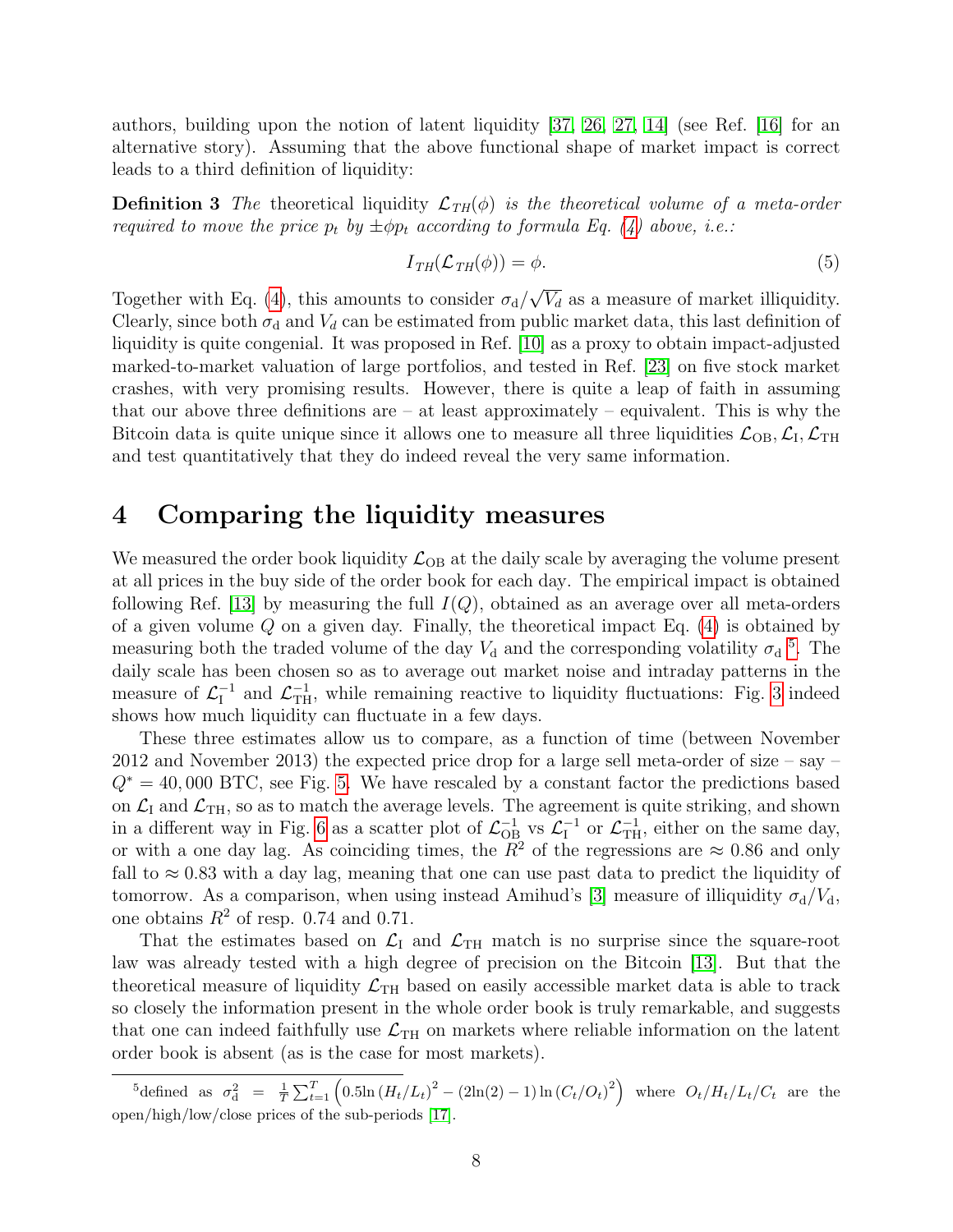authors, building upon the notion of latent liquidity [\[37,](#page-12-3) [26,](#page-11-9) [27,](#page-11-10) [14\]](#page-10-5) (see Ref. [\[16\]](#page-10-12) for an alternative story). Assuming that the above functional shape of market impact is correct leads to a third definition of liquidity:

**Definition 3** The theoretical liquidity  $\mathcal{L}_{TH}(\phi)$  is the theoretical volume of a meta-order required to move the price  $p_t$  by  $\pm \phi p_t$  according to formula Eq. [\(4\)](#page-6-2) above, i.e.:

$$
I_{TH}(\mathcal{L}_{TH}(\phi)) = \phi.
$$
 (5)

Together with Eq. [\(4\)](#page-6-2), this amounts to consider  $\sigma_d/\sqrt{V_d}$  as a measure of market illiquidity. Clearly, since both  $\sigma_d$  and  $V_d$  can be estimated from public market data, this last definition of liquidity is quite congenial. It was proposed in Ref. [\[10\]](#page-10-13) as a proxy to obtain impact-adjusted marked-to-market valuation of large portfolios, and tested in Ref. [\[23\]](#page-11-13) on five stock market crashes, with very promising results. However, there is quite a leap of faith in assuming that our above three definitions are  $-$  at least approximately  $-$  equivalent. This is why the Bitcoin data is quite unique since it allows one to measure all three liquidities  $\mathcal{L}_{OB}$ ,  $\mathcal{L}_{I}$ ,  $\mathcal{L}_{TH}$ and test quantitatively that they do indeed reveal the very same information.

#### <span id="page-7-0"></span>4 Comparing the liquidity measures

We measured the order book liquidity  $\mathcal{L}_{OB}$  at the daily scale by averaging the volume present at all prices in the buy side of the order book for each day. The empirical impact is obtained following Ref. [\[13\]](#page-10-8) by measuring the full  $I(Q)$ , obtained as an average over all meta-orders of a given volume  $Q$  on a given day. Finally, the theoretical impact Eq.  $(4)$  is obtained by measuring both the traded volume of the day  $V_d$  and the corresponding volatility  $\sigma_d$ <sup>[5](#page-7-1)</sup>. The daily scale has been chosen so as to average out market noise and intraday patterns in the measure of  $\mathcal{L}_I^{-1}$  $\mathcal{L}_{\text{TH}}^{-1}$ , while remaining reactive to liquidity fluctuations: Fig. [3](#page-5-0) indeed shows how much liquidity can fluctuate in a few days.

These three estimates allow us to compare, as a function of time (between November 2012 and November 2013) the expected price drop for a large sell meta-order of size – say –  $Q^* = 40,000$  BTC, see Fig. [5.](#page-8-1) We have rescaled by a constant factor the predictions based on  $\mathcal{L}_{\text{I}}$  and  $\mathcal{L}_{\text{TH}}$ , so as to match the average levels. The agreement is quite striking, and shown in a different way in Fig. [6](#page-9-2) as a scatter plot of  $\mathcal{L}_{OB}^{-1}$  vs  $\mathcal{L}_{I}^{-1}$  $\mathcal{L}_{\text{TH}}^{-1}$ , either on the same day, or with a one day lag. As coinciding times, the  $R^2$  of the regressions are  $\approx 0.86$  and only fall to  $\approx 0.83$  with a day lag, meaning that one can use past data to predict the liquidity of tomorrow. As a comparison, when using instead Amihud's [\[3\]](#page-10-14) measure of illiquidity  $\sigma_d/V_d$ , one obtains  $R^2$  of resp. 0.74 and 0.71.

That the estimates based on  $\mathcal{L}_I$  and  $\mathcal{L}_{TH}$  match is no surprise since the square-root law was already tested with a high degree of precision on the Bitcoin [\[13\]](#page-10-8). But that the theoretical measure of liquidity  $\mathcal{L}_{TH}$  based on easily accessible market data is able to track so closely the information present in the whole order book is truly remarkable, and suggests that one can indeed faithfully use  $\mathcal{L}_{TH}$  on markets where reliable information on the latent order book is absent (as is the case for most markets).

<span id="page-7-1"></span> ${}^{5}$ defined as  $\sigma_{d}^{2} = \frac{1}{T} \sum_{t=1}^{T} (0.5\ln(H_{t}/L_{t})^{2} - (2\ln(2) - 1) \ln(C_{t}/O_{t})^{2})$  where  $O_{t}/H_{t}/L_{t}/C_{t}$  are the open/high/low/close prices of the sub-periods [\[17\]](#page-10-15).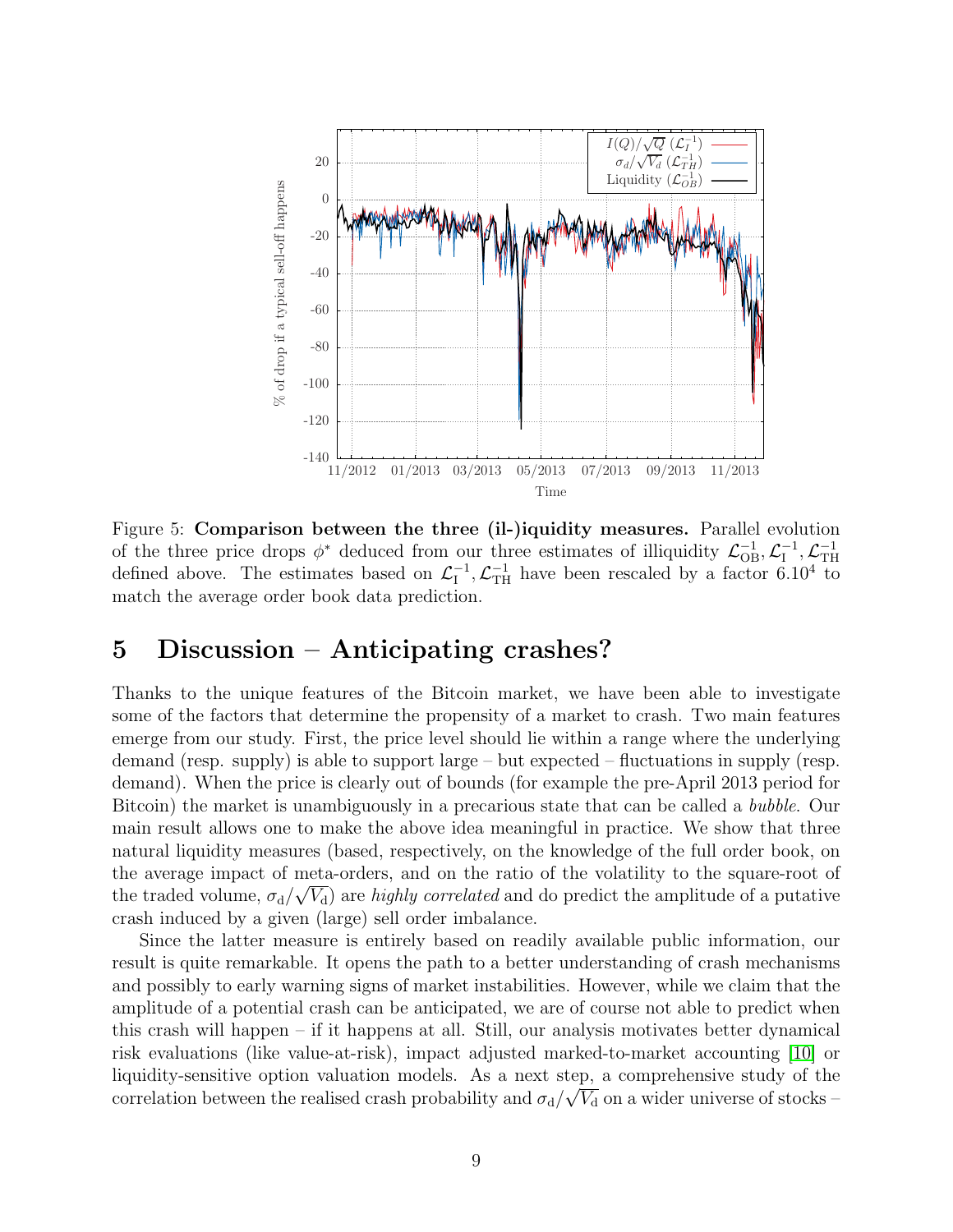<span id="page-8-1"></span>

Figure 5: Comparison between the three (il-)iquidity measures. Parallel evolution of the three price drops  $\phi^*$  deduced from our three estimates of illiquidity  $\mathcal{L}_{OB}^{-1}, \mathcal{L}_{I}^{-1}$  $\mathcal{L}_\text{TH}^{-1}, \mathcal{L}_\text{TH}^{-1}$ TH defined above. The estimates based on  $\mathcal{L}_I^{-1}$  $\frac{1}{I}$ ,  $\mathcal{L}_{\text{TH}}^{-1}$  have been rescaled by a factor 6.10<sup>4</sup> to match the average order book data prediction.

#### <span id="page-8-0"></span>5 Discussion – Anticipating crashes?

Thanks to the unique features of the Bitcoin market, we have been able to investigate some of the factors that determine the propensity of a market to crash. Two main features emerge from our study. First, the price level should lie within a range where the underlying demand (resp. supply) is able to support large – but expected – fluctuations in supply (resp. demand). When the price is clearly out of bounds (for example the pre-April 2013 period for Bitcoin) the market is unambiguously in a precarious state that can be called a bubble. Our main result allows one to make the above idea meaningful in practice. We show that three natural liquidity measures (based, respectively, on the knowledge of the full order book, on the average impact of meta-orders, and on the ratio of the volatility to the square-root of the traded volume,  $\sigma_d/\sqrt{V_d}$  are highly correlated and do predict the amplitude of a putative crash induced by a given (large) sell order imbalance.

Since the latter measure is entirely based on readily available public information, our result is quite remarkable. It opens the path to a better understanding of crash mechanisms and possibly to early warning signs of market instabilities. However, while we claim that the amplitude of a potential crash can be anticipated, we are of course not able to predict when this crash will happen – if it happens at all. Still, our analysis motivates better dynamical risk evaluations (like value-at-risk), impact adjusted marked-to-market accounting [\[10\]](#page-10-13) or liquidity-sensitive option valuation models. As a next step, a comprehensive study of the correlation between the realised crash probability and  $\sigma_d/\sqrt{V_d}$  on a wider universe of stocks –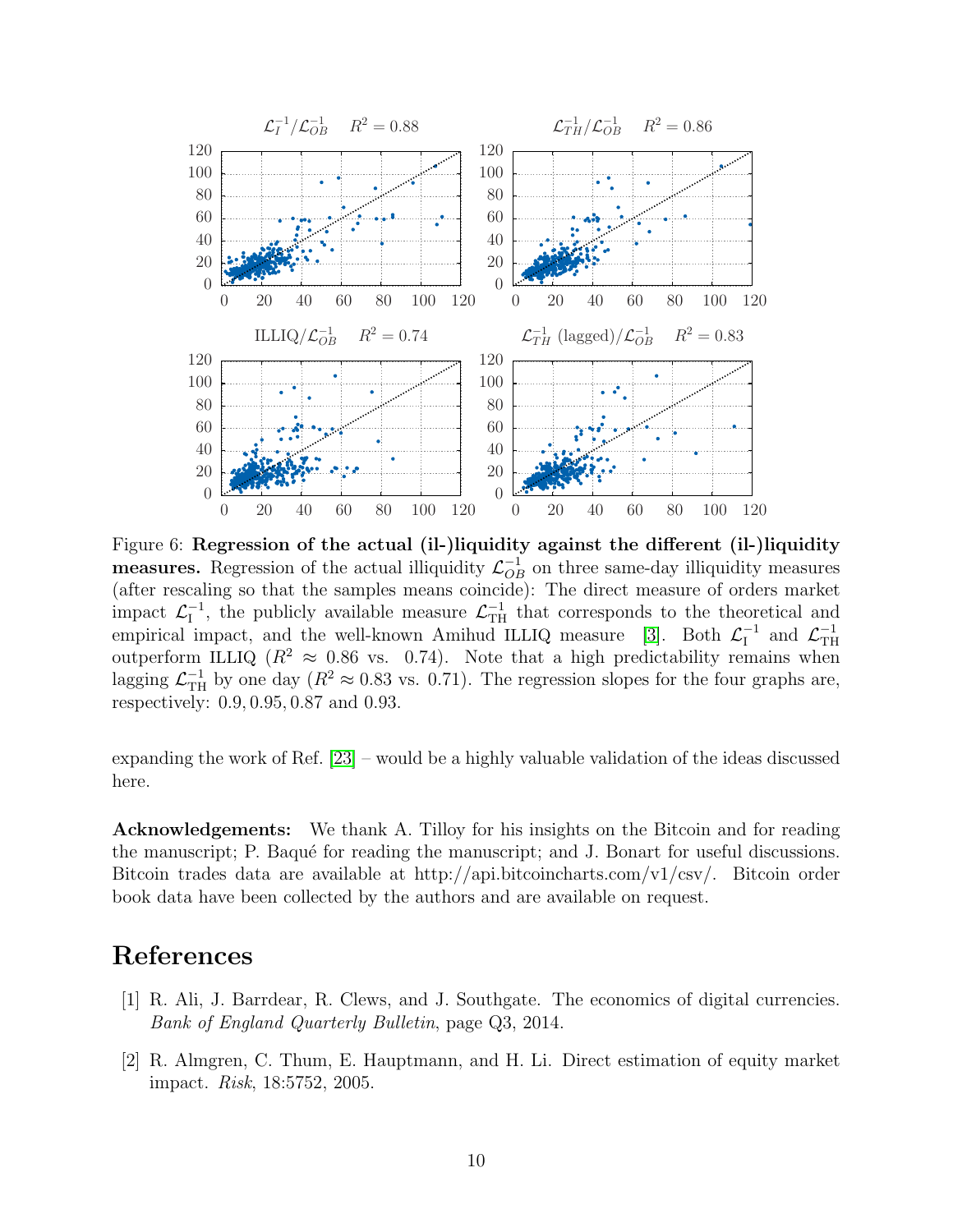<span id="page-9-2"></span>

Figure 6: Regression of the actual (il-)liquidity against the different (il-)liquidity **measures.** Regression of the actual illiquidity  $\mathcal{L}_{OB}^{-1}$  on three same-day illiquidity measures (after rescaling so that the samples means coincide): The direct measure of orders market impact  $\mathcal{L}_{\mathrm{I}}^{-1}$  $\mathcal{L}_{\text{TH}}^{-1}$ , the publicly available measure  $\mathcal{L}_{\text{TH}}^{-1}$  that corresponds to the theoretical and empirical impact, and the well-known Amihud ILLIQ measure [\[3\]](#page-10-14). Both  $\mathcal{L}_I^{-1}$  $\mathcal{L}_{\text{TH}}^{-1}$  and  $\mathcal{L}_{\text{TH}}^{-1}$ TH outperform ILLIQ ( $R^2 \approx 0.86$  vs. 0.74). Note that a high predictability remains when lagging  $\mathcal{L}_{\text{TH}}^{-1}$  by one day  $(R^2 \approx 0.83 \text{ vs. } 0.71)$ . The regression slopes for the four graphs are, respectively: 0.9, 0.95, 0.87 and 0.93.

expanding the work of Ref. [\[23\]](#page-11-13) – would be a highly valuable validation of the ideas discussed here.

Acknowledgements: We thank A. Tilloy for his insights on the Bitcoin and for reading the manuscript; P. Baqué for reading the manuscript; and J. Bonart for useful discussions. Bitcoin trades data are available at http://api.bitcoincharts.com/v1/csv/. Bitcoin order book data have been collected by the authors and are available on request.

### References

- <span id="page-9-0"></span>[1] R. Ali, J. Barrdear, R. Clews, and J. Southgate. The economics of digital currencies. Bank of England Quarterly Bulletin, page Q3, 2014.
- <span id="page-9-1"></span>[2] R. Almgren, C. Thum, E. Hauptmann, and H. Li. Direct estimation of equity market impact. Risk, 18:5752, 2005.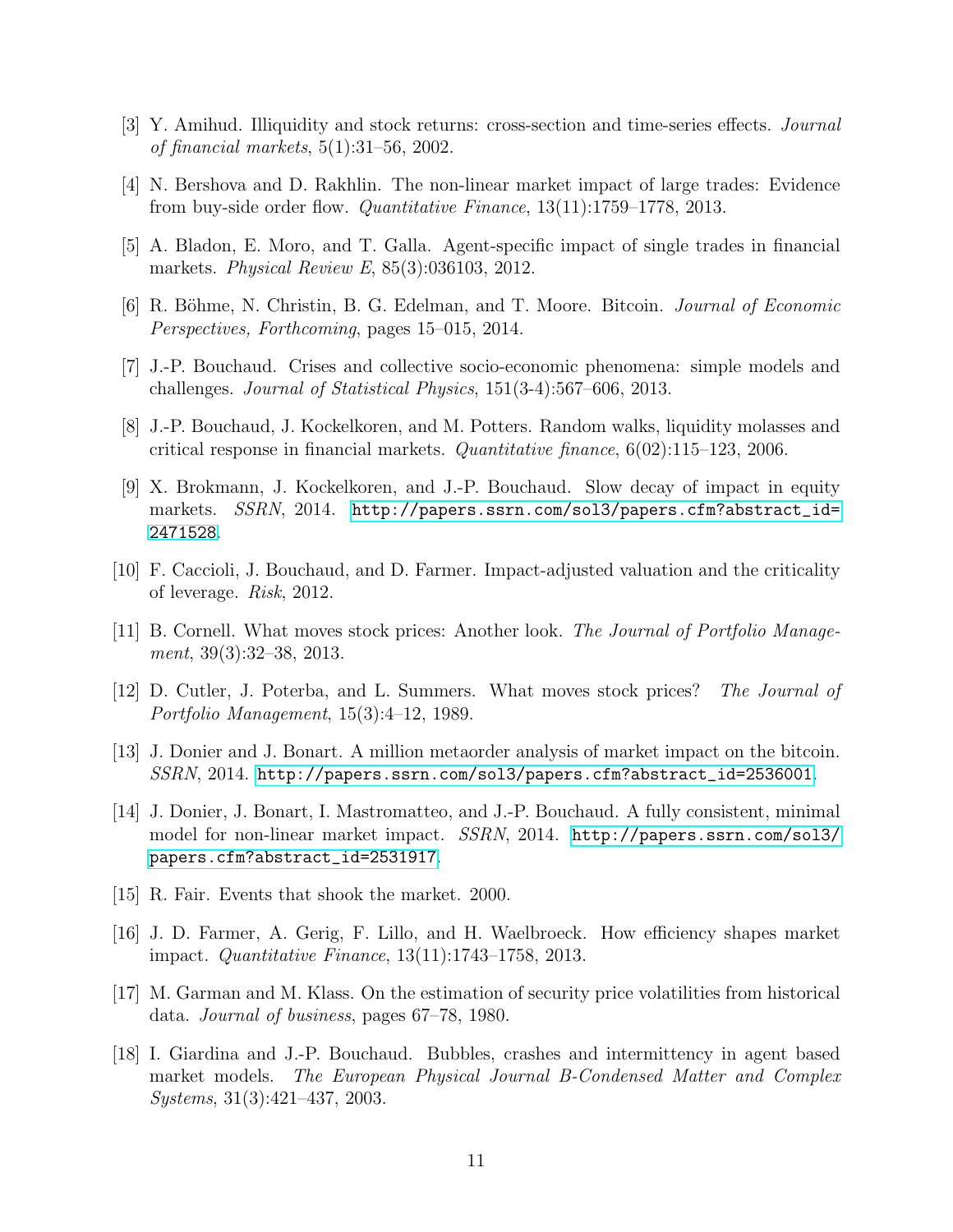- <span id="page-10-14"></span>[3] Y. Amihud. Illiquidity and stock returns: cross-section and time-series effects. Journal of financial markets, 5(1):31–56, 2002.
- <span id="page-10-10"></span>[4] N. Bershova and D. Rakhlin. The non-linear market impact of large trades: Evidence from buy-side order flow. Quantitative Finance, 13(11):1759–1778, 2013.
- <span id="page-10-9"></span>[5] A. Bladon, E. Moro, and T. Galla. Agent-specific impact of single trades in financial markets. Physical Review E, 85(3):036103, 2012.
- <span id="page-10-4"></span>[6] R. Böhme, N. Christin, B. G. Edelman, and T. Moore. Bitcoin. *Journal of Economic* Perspectives, Forthcoming, pages 15–015, 2014.
- <span id="page-10-3"></span>[7] J.-P. Bouchaud. Crises and collective socio-economic phenomena: simple models and challenges. Journal of Statistical Physics, 151(3-4):567–606, 2013.
- <span id="page-10-6"></span>[8] J.-P. Bouchaud, J. Kockelkoren, and M. Potters. Random walks, liquidity molasses and critical response in financial markets. *Quantitative finance*,  $6(02):115-123$ , 2006.
- <span id="page-10-11"></span>[9] X. Brokmann, J. Kockelkoren, and J.-P. Bouchaud. Slow decay of impact in equity markets. SSRN, 2014. [http://papers.ssrn.com/sol3/papers.cfm?abstract\\_id=](http://papers.ssrn.com/sol3/papers.cfm?abstract_id=2471528) [2471528](http://papers.ssrn.com/sol3/papers.cfm?abstract_id=2471528).
- <span id="page-10-13"></span>[10] F. Caccioli, J. Bouchaud, and D. Farmer. Impact-adjusted valuation and the criticality of leverage. Risk, 2012.
- <span id="page-10-1"></span>[11] B. Cornell. What moves stock prices: Another look. The Journal of Portfolio Management, 39(3):32–38, 2013.
- <span id="page-10-2"></span>[12] D. Cutler, J. Poterba, and L. Summers. What moves stock prices? The Journal of Portfolio Management, 15(3):4–12, 1989.
- <span id="page-10-8"></span>[13] J. Donier and J. Bonart. A million metaorder analysis of market impact on the bitcoin. SSRN, 2014. [http://papers.ssrn.com/sol3/papers.cfm?abstract\\_id=2536001](http://papers.ssrn.com/sol3/papers.cfm?abstract_id=2536001).
- <span id="page-10-5"></span>[14] J. Donier, J. Bonart, I. Mastromatteo, and J.-P. Bouchaud. A fully consistent, minimal model for non-linear market impact. SSRN, 2014. [http://papers.ssrn.com/sol3/](http://papers.ssrn.com/sol3/papers.cfm?abstract_id=2531917) [papers.cfm?abstract\\_id=2531917](http://papers.ssrn.com/sol3/papers.cfm?abstract_id=2531917).
- <span id="page-10-0"></span>[15] R. Fair. Events that shook the market. 2000.
- <span id="page-10-12"></span>[16] J. D. Farmer, A. Gerig, F. Lillo, and H. Waelbroeck. How efficiency shapes market impact. Quantitative Finance, 13(11):1743–1758, 2013.
- <span id="page-10-15"></span>[17] M. Garman and M. Klass. On the estimation of security price volatilities from historical data. Journal of business, pages 67–78, 1980.
- <span id="page-10-7"></span>[18] I. Giardina and J.-P. Bouchaud. Bubbles, crashes and intermittency in agent based market models. The European Physical Journal B-Condensed Matter and Complex Systems, 31(3):421–437, 2003.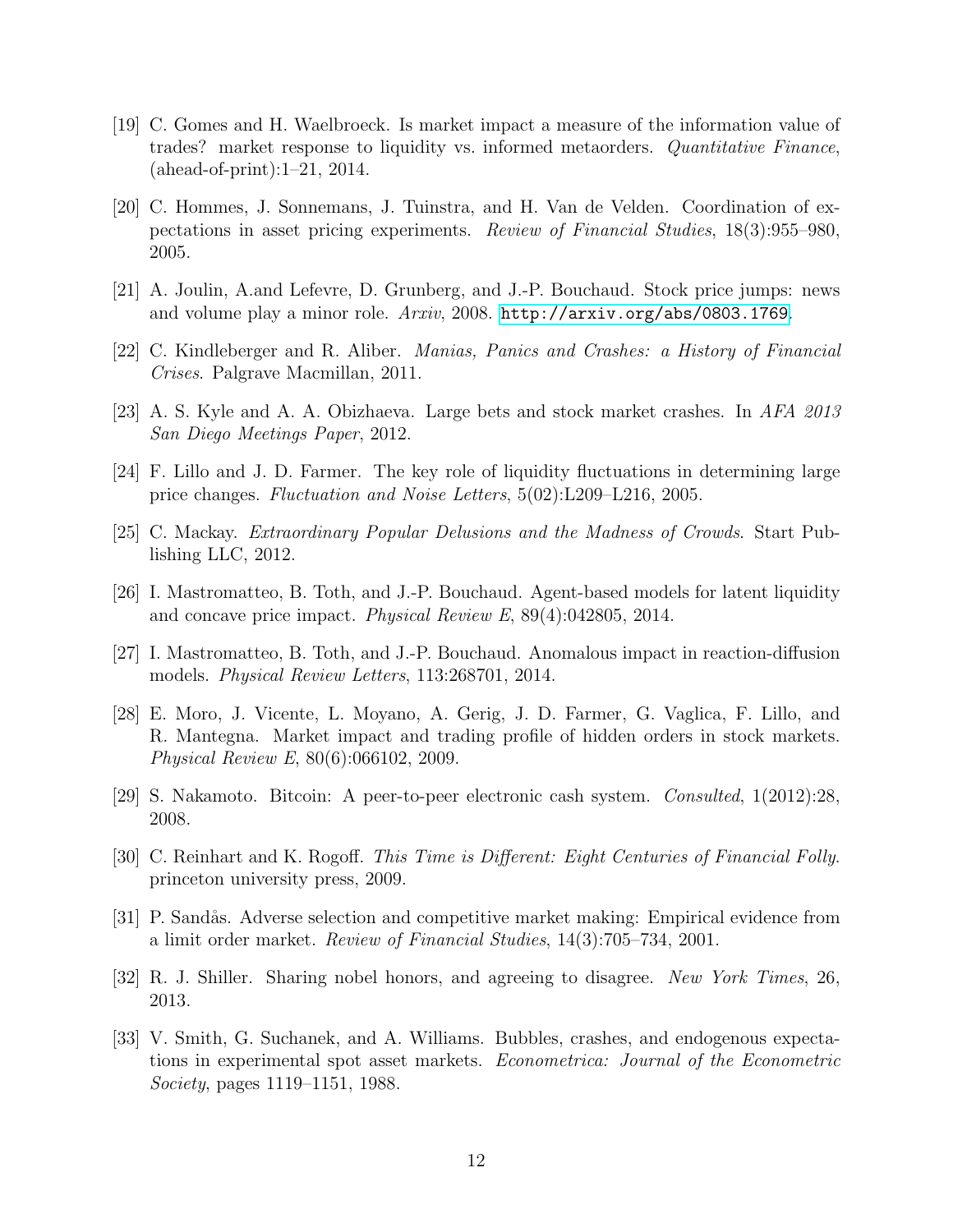- <span id="page-11-14"></span>[19] C. Gomes and H. Waelbroeck. Is market impact a measure of the information value of trades? market response to liquidity vs. informed metaorders. Quantitative Finance, (ahead-of-print):1–21, 2014.
- <span id="page-11-7"></span>[20] C. Hommes, J. Sonnemans, J. Tuinstra, and H. Van de Velden. Coordination of expectations in asset pricing experiments. Review of Financial Studies, 18(3):955–980, 2005.
- <span id="page-11-4"></span>[21] A. Joulin, A.and Lefevre, D. Grunberg, and J.-P. Bouchaud. Stock price jumps: news and volume play a minor role. Arxiv, 2008. <http://arxiv.org/abs/0803.1769>.
- <span id="page-11-2"></span>[22] C. Kindleberger and R. Aliber. Manias, Panics and Crashes: a History of Financial Crises. Palgrave Macmillan, 2011.
- <span id="page-11-13"></span>[23] A. S. Kyle and A. A. Obizhaeva. Large bets and stock market crashes. In AFA 2013 San Diego Meetings Paper, 2012.
- <span id="page-11-6"></span>[24] F. Lillo and J. D. Farmer. The key role of liquidity fluctuations in determining large price changes. Fluctuation and Noise Letters, 5(02):L209–L216, 2005.
- <span id="page-11-1"></span>[25] C. Mackay. Extraordinary Popular Delusions and the Madness of Crowds. Start Publishing LLC, 2012.
- <span id="page-11-9"></span>[26] I. Mastromatteo, B. Toth, and J.-P. Bouchaud. Agent-based models for latent liquidity and concave price impact. Physical Review E, 89(4):042805, 2014.
- <span id="page-11-10"></span>[27] I. Mastromatteo, B. Toth, and J.-P. Bouchaud. Anomalous impact in reaction-diffusion models. Physical Review Letters, 113:268701, 2014.
- <span id="page-11-12"></span>[28] E. Moro, J. Vicente, L. Moyano, A. Gerig, J. D. Farmer, G. Vaglica, F. Lillo, and R. Mantegna. Market impact and trading profile of hidden orders in stock markets. Physical Review E, 80(6):066102, 2009.
- <span id="page-11-8"></span>[29] S. Nakamoto. Bitcoin: A peer-to-peer electronic cash system. Consulted, 1(2012):28, 2008.
- <span id="page-11-3"></span>[30] C. Reinhart and K. Rogoff. This Time is Different: Eight Centuries of Financial Folly. princeton university press, 2009.
- <span id="page-11-11"></span>[31] P. Sandås. Adverse selection and competitive market making: Empirical evidence from a limit order market. Review of Financial Studies, 14(3):705–734, 2001.
- <span id="page-11-0"></span>[32] R. J. Shiller. Sharing nobel honors, and agreeing to disagree. New York Times, 26, 2013.
- <span id="page-11-5"></span>[33] V. Smith, G. Suchanek, and A. Williams. Bubbles, crashes, and endogenous expectations in experimental spot asset markets. Econometrica: Journal of the Econometric Society, pages 1119–1151, 1988.